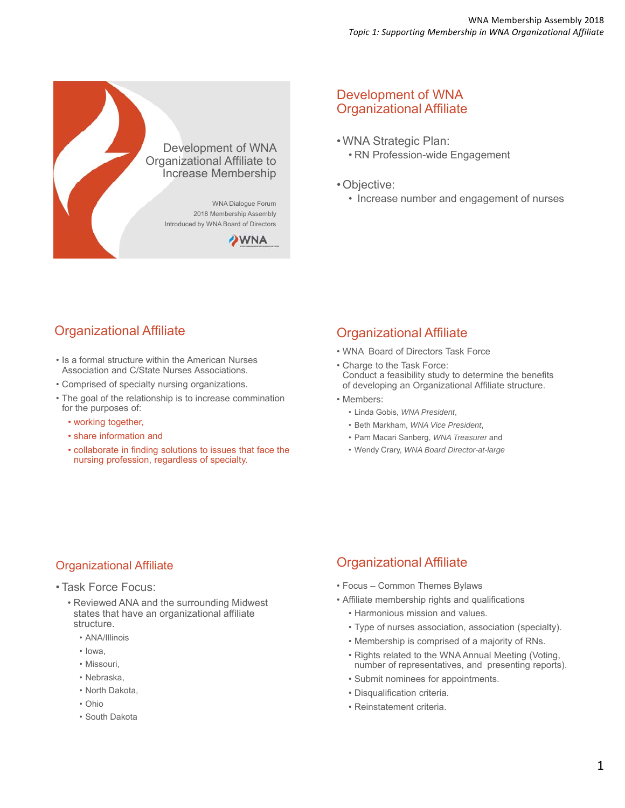

### Development of WNA Organizational Affiliate

- WNA Strategic Plan: • RN Profession-wide Engagement
- Objective:
	- Increase number and engagement of nurses

# Organizational Affiliate

- Is a formal structure within the American Nurses Association and C/State Nurses Associations.
- Comprised of specialty nursing organizations.
- The goal of the relationship is to increase commination for the purposes of:
	- working together,
	- share information and
	- collaborate in finding solutions to issues that face the nursing profession, regardless of specialty.

## Organizational Affiliate

- WNA Board of Directors Task Force
- Charge to the Task Force: Conduct a feasibility study to determine the benefits of developing an Organizational Affiliate structure.
- Members:
	- Linda Gobis, *WNA President*,
	- Beth Markham, *WNA Vice President*,
	- Pam Macari Sanberg, *WNA Treasurer* and
	- Wendy Crary, *WNA Board Director-at-large*

### Organizational Affiliate

- Task Force Focus:
	- Reviewed ANA and the surrounding Midwest states that have an organizational affiliate structure.
		- ANA/Illinois
		- Iowa,
		- Missouri,
		- Nebraska,
		- North Dakota,
		- Ohio
		- South Dakota

# Organizational Affiliate

- Focus Common Themes Bylaws
- Affiliate membership rights and qualifications
	- Harmonious mission and values.
	- Type of nurses association, association (specialty).
	- Membership is comprised of a majority of RNs.
	- Rights related to the WNA Annual Meeting (Voting, number of representatives, and presenting reports).
	- Submit nominees for appointments.
	- Disqualification criteria.
	- Reinstatement criteria.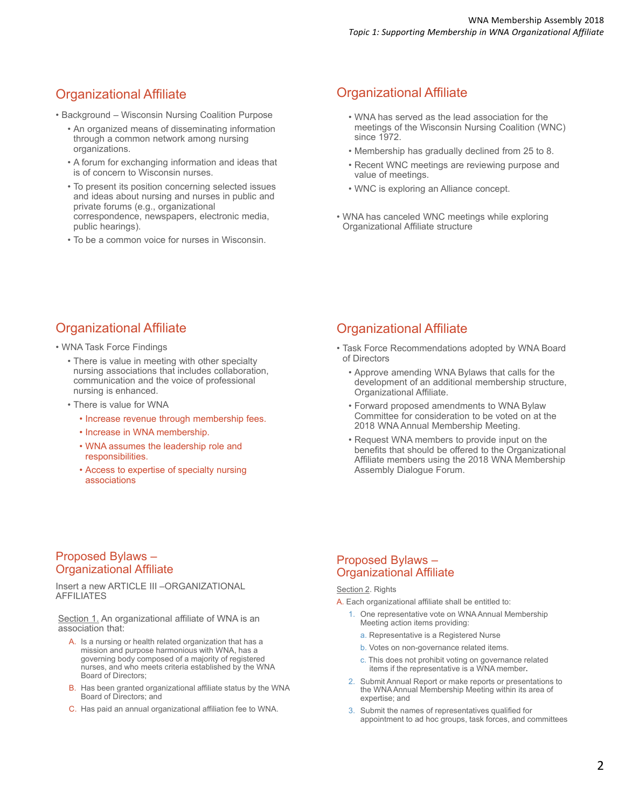# Organizational Affiliate

- Background Wisconsin Nursing Coalition Purpose
	- An organized means of disseminating information through a common network among nursing organizations.
	- A forum for exchanging information and ideas that is of concern to Wisconsin nurses.
	- To present its position concerning selected issues and ideas about nursing and nurses in public and private forums (e.g., organizational correspondence, newspapers, electronic media, public hearings).
	- To be a common voice for nurses in Wisconsin.

### Organizational Affiliate

- WNA has served as the lead association for the meetings of the Wisconsin Nursing Coalition (WNC) since 1972.
- Membership has gradually declined from 25 to 8.
- Recent WNC meetings are reviewing purpose and value of meetings.
- WNC is exploring an Alliance concept.
- WNA has canceled WNC meetings while exploring Organizational Affiliate structure

# Organizational Affiliate

- WNA Task Force Findings
	- There is value in meeting with other specialty nursing associations that includes collaboration, communication and the voice of professional nursing is enhanced.
	- There is value for WNA
		- Increase revenue through membership fees.
		- Increase in WNA membership.
		- WNA assumes the leadership role and responsibilities.
		- Access to expertise of specialty nursing associations

### Organizational Affiliate

- Task Force Recommendations adopted by WNA Board of Directors
	- Approve amending WNA Bylaws that calls for the development of an additional membership structure, Organizational Affiliate.
	- Forward proposed amendments to WNA Bylaw Committee for consideration to be voted on at the 2018 WNA Annual Membership Meeting.
	- Request WNA members to provide input on the benefits that should be offered to the Organizational Affiliate members using the 2018 WNA Membership Assembly Dialogue Forum.

#### Proposed Bylaws – Organizational Affiliate

Insert a new ARTICLE III –ORGANIZATIONAL AFFILIATES

Section 1. An organizational affiliate of WNA is an association that:

- A. Is a nursing or health related organization that has a mission and purpose harmonious with WNA, has a governing body composed of a majority of registered nurses, and who meets criteria established by the WNA Board of Directors;
- B. Has been granted organizational affiliate status by the WNA Board of Directors; and
- C. Has paid an annual organizational affiliation fee to WNA.

#### Proposed Bylaws – Organizational Affiliate

#### Section 2. Rights

- A. Each organizational affiliate shall be entitled to:
	- 1. One representative vote on WNA Annual Membership Meeting action items providing:
		- a. Representative is a Registered Nurse
		- b. Votes on non-governance related items.
		- c. This does not prohibit voting on governance related items if the representative is a WNA member**.**
	- 2. Submit Annual Report or make reports or presentations to the WNA Annual Membership Meeting within its area of expertise; and
	- 3. Submit the names of representatives qualified for appointment to ad hoc groups, task forces, and committees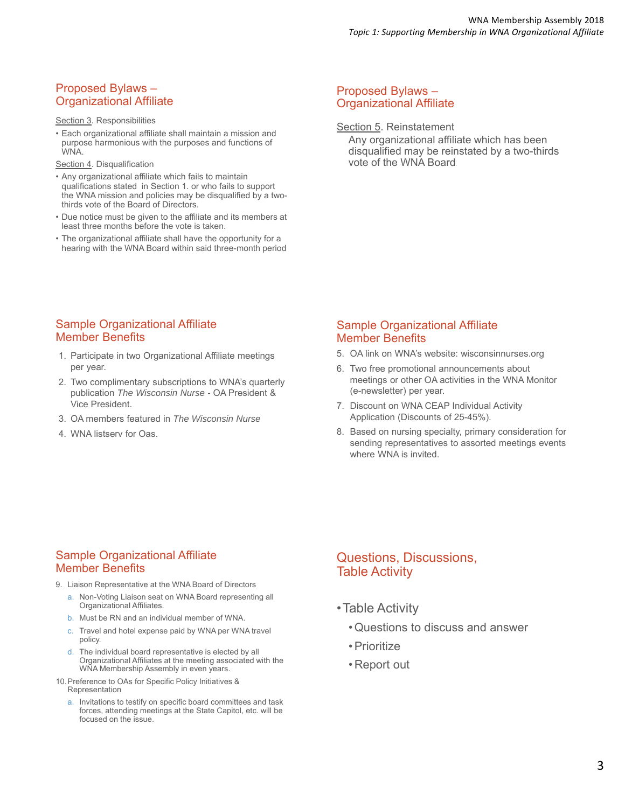### Proposed Bylaws – Organizational Affiliate

#### Section 3. Responsibilities

• Each organizational affiliate shall maintain a mission and purpose harmonious with the purposes and functions of WNA.

Section 4. Disqualification

- Any organizational affiliate which fails to maintain qualifications stated in Section 1. or who fails to support the WNA mission and policies may be disqualified by a twothirds vote of the Board of Directors.
- Due notice must be given to the affiliate and its members at least three months before the vote is taken.
- The organizational affiliate shall have the opportunity for a hearing with the WNA Board within said three-month period

#### Proposed Bylaws – Organizational Affiliate

Section 5. Reinstatement

Any organizational affiliate which has been disqualified may be reinstated by a two-thirds vote of the WNA Board**.**

#### Sample Organizational Affiliate Member Benefits

- 1. Participate in two Organizational Affiliate meetings per year.
- 2. Two complimentary subscriptions to WNA's quarterly publication *The Wisconsin Nurse -* OA President & Vice President.
- 3. OA members featured in *The Wisconsin Nurse*
- 4. WNA listserv for Oas.

#### Sample Organizational Affiliate Member Benefits

- 5. OA link on WNA's website: wisconsinnurses.org
- 6. Two free promotional announcements about meetings or other OA activities in the WNA Monitor (e-newsletter) per year.
- 7. Discount on WNA CEAP Individual Activity Application (Discounts of 25-45%).
- 8. Based on nursing specialty, primary consideration for sending representatives to assorted meetings events where WNA is invited.

#### Sample Organizational Affiliate Member Benefits

- 9. Liaison Representative at the WNA Board of Directors
	- a. Non-Voting Liaison seat on WNA Board representing all Organizational Affiliates.
	- b. Must be RN and an individual member of WNA.
	- c. Travel and hotel expense paid by WNA per WNA travel policy.
	- d. The individual board representative is elected by all Organizational Affiliates at the meeting associated with the WNA Membership Assembly in even years.
- 10.Preference to OAs for Specific Policy Initiatives & Representation
	- a. Invitations to testify on specific board committees and task forces, attending meetings at the State Capitol, etc. will be focused on the issue.

### Questions, Discussions, Table Activity

- •Table Activity
	- Questions to discuss and answer
	- Prioritize
	- Report out